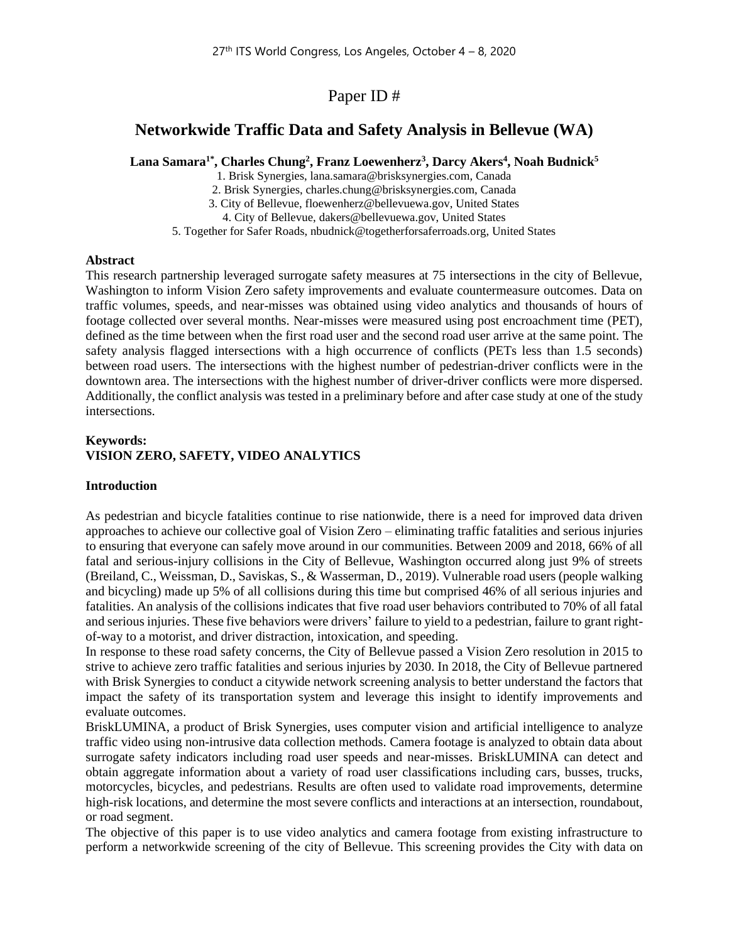Paper ID #

# **Networkwide Traffic Data and Safety Analysis in Bellevue (WA)**

**Lana Samara1\* , Charles Chung<sup>2</sup> , Franz Loewenherz<sup>3</sup> , Darcy Akers<sup>4</sup> , Noah Budnick<sup>5</sup>**

1. Brisk Synergies, lana.samara@brisksynergies.com, Canada

2. Brisk Synergies, charles.chung@brisksynergies.com, Canada

3. City of Bellevue, floewenherz@bellevuewa.gov, United States

4. City of Bellevue, dakers@bellevuewa.gov, United States

5. Together for Safer Roads, nbudnick@togetherforsaferroads.org, United States

#### **Abstract**

This research partnership leveraged surrogate safety measures at 75 intersections in the city of Bellevue, Washington to inform Vision Zero safety improvements and evaluate countermeasure outcomes. Data on traffic volumes, speeds, and near-misses was obtained using video analytics and thousands of hours of footage collected over several months. Near-misses were measured using post encroachment time (PET), defined as the time between when the first road user and the second road user arrive at the same point. The safety analysis flagged intersections with a high occurrence of conflicts (PETs less than 1.5 seconds) between road users. The intersections with the highest number of pedestrian-driver conflicts were in the downtown area. The intersections with the highest number of driver-driver conflicts were more dispersed. Additionally, the conflict analysis was tested in a preliminary before and after case study at one of the study intersections.

### **Keywords: VISION ZERO, SAFETY, VIDEO ANALYTICS**

#### **Introduction**

As pedestrian and bicycle fatalities continue to rise nationwide, there is a need for improved data driven approaches to achieve our collective goal of Vision Zero – eliminating traffic fatalities and serious injuries to ensuring that everyone can safely move around in our communities. Between 2009 and 2018, 66% of all fatal and serious-injury collisions in the City of Bellevue, Washington occurred along just 9% of streets (Breiland, C., Weissman, D., Saviskas, S., & Wasserman, D., 2019). Vulnerable road users (people walking and bicycling) made up 5% of all collisions during this time but comprised 46% of all serious injuries and fatalities. An analysis of the collisions indicates that five road user behaviors contributed to 70% of all fatal and serious injuries. These five behaviors were drivers' failure to yield to a pedestrian, failure to grant rightof-way to a motorist, and driver distraction, intoxication, and speeding.

In response to these road safety concerns, the City of Bellevue passed a Vision Zero resolution in 2015 to strive to achieve zero traffic fatalities and serious injuries by 2030. In 2018, the City of Bellevue partnered with Brisk Synergies to conduct a citywide network screening analysis to better understand the factors that impact the safety of its transportation system and leverage this insight to identify improvements and evaluate outcomes.

BriskLUMINA, a product of Brisk Synergies, uses computer vision and artificial intelligence to analyze traffic video using non-intrusive data collection methods. Camera footage is analyzed to obtain data about surrogate safety indicators including road user speeds and near-misses. BriskLUMINA can detect and obtain aggregate information about a variety of road user classifications including cars, busses, trucks, motorcycles, bicycles, and pedestrians. Results are often used to validate road improvements, determine high-risk locations, and determine the most severe conflicts and interactions at an intersection, roundabout, or road segment.

The objective of this paper is to use video analytics and camera footage from existing infrastructure to perform a networkwide screening of the city of Bellevue. This screening provides the City with data on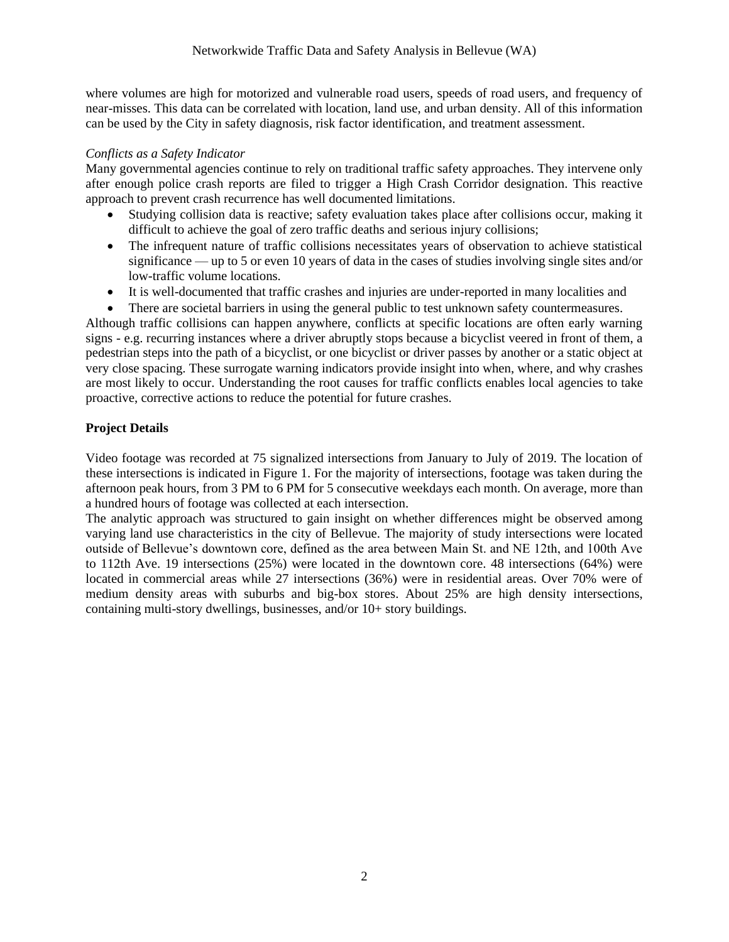where volumes are high for motorized and vulnerable road users, speeds of road users, and frequency of near-misses. This data can be correlated with location, land use, and urban density. All of this information can be used by the City in safety diagnosis, risk factor identification, and treatment assessment.

### *Conflicts as a Safety Indicator*

Many governmental agencies continue to rely on traditional traffic safety approaches. They intervene only after enough police crash reports are filed to trigger a High Crash Corridor designation. This reactive approach to prevent crash recurrence has well documented limitations.

- Studying collision data is reactive; safety evaluation takes place after collisions occur, making it difficult to achieve the goal of zero traffic deaths and serious injury collisions;
- The infrequent nature of traffic collisions necessitates years of observation to achieve statistical significance — up to 5 or even 10 years of data in the cases of studies involving single sites and/or low-traffic volume locations.
- It is well-documented that traffic crashes and injuries are under-reported in many localities and
- There are societal barriers in using the general public to test unknown safety countermeasures.

Although traffic collisions can happen anywhere, conflicts at specific locations are often early warning signs - e.g. recurring instances where a driver abruptly stops because a bicyclist veered in front of them, a pedestrian steps into the path of a bicyclist, or one bicyclist or driver passes by another or a static object at very close spacing. These surrogate warning indicators provide insight into when, where, and why crashes are most likely to occur. Understanding the root causes for traffic conflicts enables local agencies to take proactive, corrective actions to reduce the potential for future crashes.

# **Project Details**

Video footage was recorded at 75 signalized intersections from January to July of 2019. The location of these intersections is indicated in Figure 1. For the majority of intersections, footage was taken during the afternoon peak hours, from 3 PM to 6 PM for 5 consecutive weekdays each month. On average, more than a hundred hours of footage was collected at each intersection.

The analytic approach was structured to gain insight on whether differences might be observed among varying land use characteristics in the city of Bellevue. The majority of study intersections were located outside of Bellevue's downtown core, defined as the area between Main St. and NE 12th, and 100th Ave to 112th Ave. 19 intersections (25%) were located in the downtown core. 48 intersections (64%) were located in commercial areas while 27 intersections (36%) were in residential areas. Over 70% were of medium density areas with suburbs and big-box stores. About 25% are high density intersections, containing multi-story dwellings, businesses, and/or 10+ story buildings.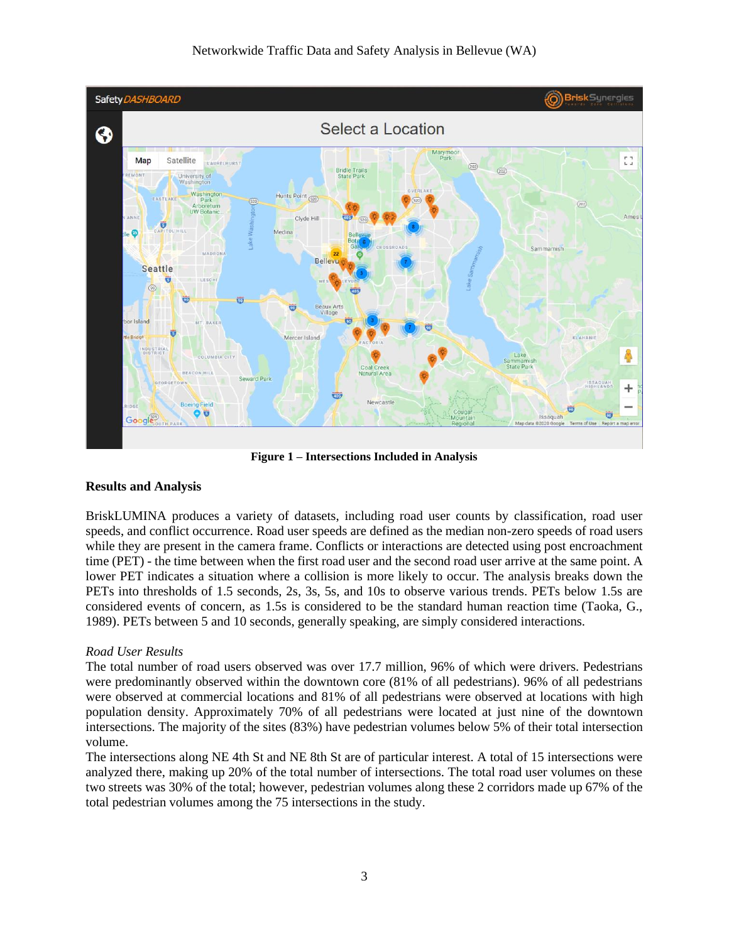

**Figure 1 – Intersections Included in Analysis**

### **Results and Analysis**

BriskLUMINA produces a variety of datasets, including road user counts by classification, road user speeds, and conflict occurrence. Road user speeds are defined as the median non-zero speeds of road users while they are present in the camera frame. Conflicts or interactions are detected using post encroachment time (PET) - the time between when the first road user and the second road user arrive at the same point. A lower PET indicates a situation where a collision is more likely to occur. The analysis breaks down the PETs into thresholds of 1.5 seconds, 2s, 3s, 5s, and 10s to observe various trends. PETs below 1.5s are considered events of concern, as 1.5s is considered to be the standard human reaction time (Taoka, G., 1989). PETs between 5 and 10 seconds, generally speaking, are simply considered interactions.

# *Road User Results*

The total number of road users observed was over 17.7 million, 96% of which were drivers. Pedestrians were predominantly observed within the downtown core (81% of all pedestrians). 96% of all pedestrians were observed at commercial locations and 81% of all pedestrians were observed at locations with high population density. Approximately 70% of all pedestrians were located at just nine of the downtown intersections. The majority of the sites (83%) have pedestrian volumes below 5% of their total intersection volume.

The intersections along NE 4th St and NE 8th St are of particular interest. A total of 15 intersections were analyzed there, making up 20% of the total number of intersections. The total road user volumes on these two streets was 30% of the total; however, pedestrian volumes along these 2 corridors made up 67% of the total pedestrian volumes among the 75 intersections in the study.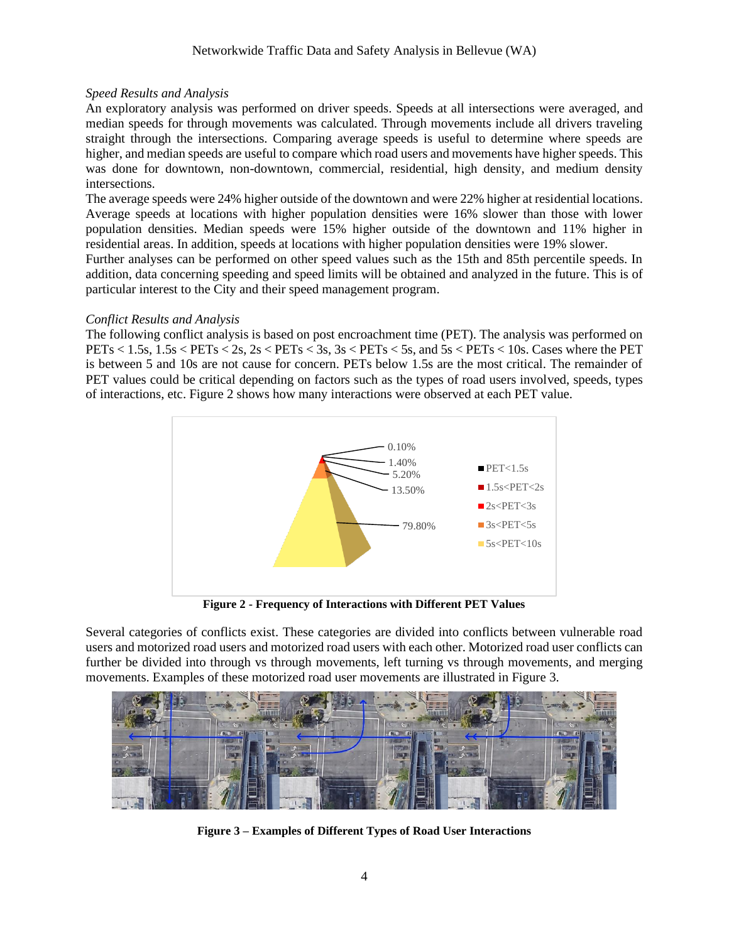## *Speed Results and Analysis*

An exploratory analysis was performed on driver speeds. Speeds at all intersections were averaged, and median speeds for through movements was calculated. Through movements include all drivers traveling straight through the intersections. Comparing average speeds is useful to determine where speeds are higher, and median speeds are useful to compare which road users and movements have higher speeds. This was done for downtown, non-downtown, commercial, residential, high density, and medium density intersections.

The average speeds were 24% higher outside of the downtown and were 22% higher at residential locations. Average speeds at locations with higher population densities were 16% slower than those with lower population densities. Median speeds were 15% higher outside of the downtown and 11% higher in residential areas. In addition, speeds at locations with higher population densities were 19% slower.

Further analyses can be performed on other speed values such as the 15th and 85th percentile speeds. In addition, data concerning speeding and speed limits will be obtained and analyzed in the future. This is of particular interest to the City and their speed management program.

### *Conflict Results and Analysis*

The following conflict analysis is based on post encroachment time (PET). The analysis was performed on PETs  $<$  1.5s, 1.5s  $<$  PETs  $<$  2s, 2s  $<$  PETs  $<$  3s, 3s  $<$  PETs  $<$  5s, and 5s  $<$  PETs  $<$  10s. Cases where the PET is between 5 and 10s are not cause for concern. PETs below 1.5s are the most critical. The remainder of PET values could be critical depending on factors such as the types of road users involved, speeds, types of interactions, etc. Figure 2 shows how many interactions were observed at each PET value.



**Figure 2 - Frequency of Interactions with Different PET Values**

Several categories of conflicts exist. These categories are divided into conflicts between vulnerable road users and motorized road users and motorized road users with each other. Motorized road user conflicts can further be divided into through vs through movements, left turning vs through movements, and merging movements. Examples of these motorized road user movements are illustrated in Figure 3.



**Figure 3 – Examples of Different Types of Road User Interactions**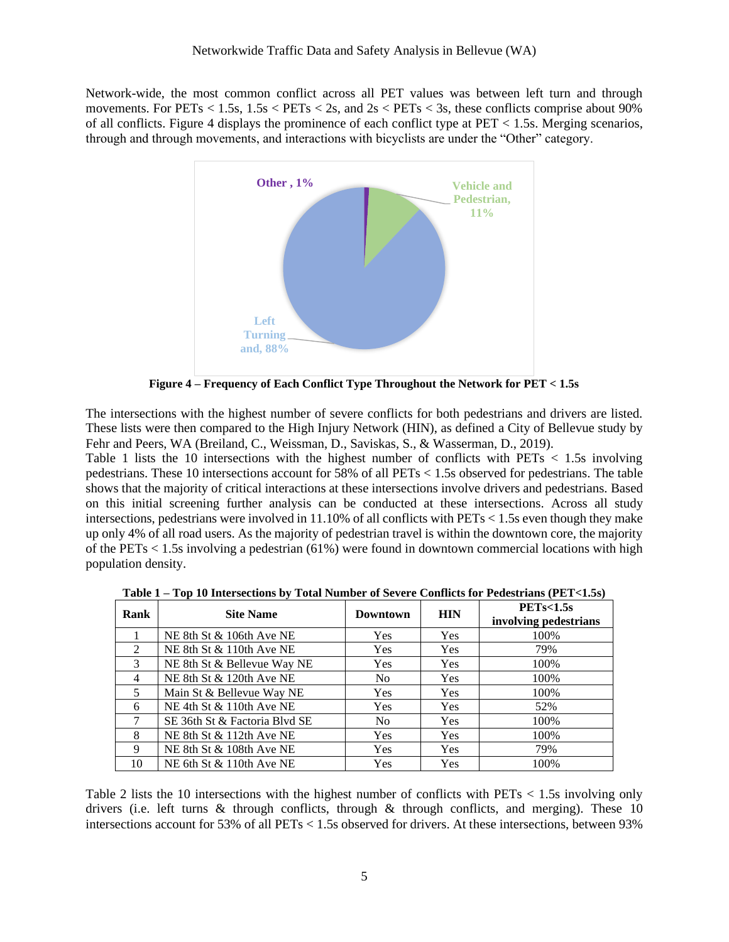Network-wide, the most common conflict across all PET values was between left turn and through movements. For  $PETs < 1.5s$ ,  $1.5s < PETs < 2s$ , and  $2s < PETs < 3s$ , these conflicts comprise about 90% of all conflicts. Figure 4 displays the prominence of each conflict type at  $PET < 1.5$ s. Merging scenarios, through and through movements, and interactions with bicyclists are under the "Other" category.



**Figure 4 – Frequency of Each Conflict Type Throughout the Network for PET < 1.5s**

The intersections with the highest number of severe conflicts for both pedestrians and drivers are listed. These lists were then compared to the High Injury Network (HIN), as defined a City of Bellevue study by Fehr and Peers, WA (Breiland, C., Weissman, D., Saviskas, S., & Wasserman, D., 2019).

Table 1 lists the 10 intersections with the highest number of conflicts with PETs < 1.5s involving pedestrians. These 10 intersections account for 58% of all PETs < 1.5s observed for pedestrians. The table shows that the majority of critical interactions at these intersections involve drivers and pedestrians. Based on this initial screening further analysis can be conducted at these intersections. Across all study intersections, pedestrians were involved in  $11.10\%$  of all conflicts with PETs  $< 1.5$ s even though they make up only 4% of all road users. As the majority of pedestrian travel is within the downtown core, the majority of the PETs  $< 1.5$ s involving a pedestrian (61%) were found in downtown commercial locations with high population density.

| Rank           | <b>Site Name</b>              | <b>Downtown</b> | <b>HIN</b> | PETs<1.5s<br>involving pedestrians |
|----------------|-------------------------------|-----------------|------------|------------------------------------|
|                | NE 8th St $\&$ 106th Ave NE   | Yes             | Yes        | 100%                               |
| 2              | NE 8th St & 110th Ave NE      | <b>Yes</b>      | <b>Yes</b> | 79%                                |
| 3              | NE 8th St & Bellevue Way NE   | <b>Yes</b>      | Yes        | 100%                               |
| $\overline{4}$ | NE 8th St & 120th Ave NE      | N <sub>0</sub>  | Yes        | 100%                               |
| 5              | Main St & Bellevue Way NE     | <b>Yes</b>      | <b>Yes</b> | 100%                               |
| 6              | NE 4th St $& 110$ th Ave NE   | Yes             | Yes        | 52%                                |
| 7              | SE 36th St & Factoria Blvd SE | N <sub>0</sub>  | Yes        | 100%                               |
| 8              | NE 8th St $\&$ 112th Ave NE   | <b>Yes</b>      | <b>Yes</b> | 100%                               |
| 9              | NE 8th St & 108th Ave NE      | Yes             | Yes        | 79%                                |
| 10             | NE 6th St & 110th Ave NE      | Yes             | Yes        | 100%                               |

**Table 1 – Top 10 Intersections by Total Number of Severe Conflicts for Pedestrians (PET<1.5s)**

Table 2 lists the 10 intersections with the highest number of conflicts with PETs < 1.5s involving only drivers (i.e. left turns  $\&$  through conflicts, through  $\&$  through conflicts, and merging). These 10 intersections account for 53% of all PETs < 1.5s observed for drivers. At these intersections, between 93%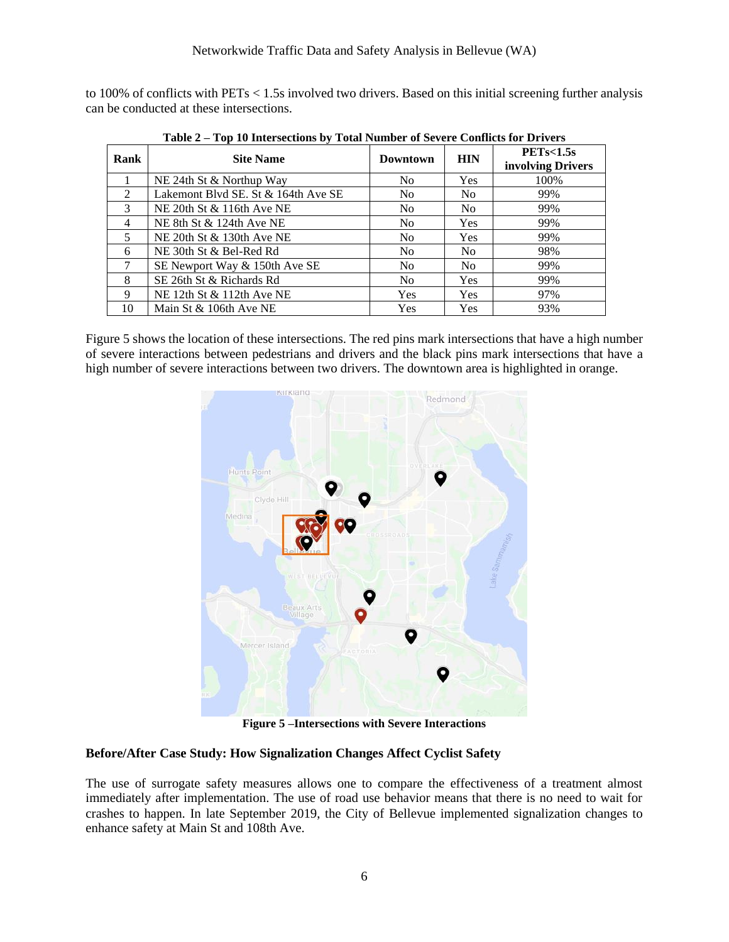to 100% of conflicts with PETs < 1.5s involved two drivers. Based on this initial screening further analysis can be conducted at these intersections.

| Rank           | <b>Site Name</b>                    | Downtown       | <b>HIN</b>     | PETs<1.5s<br>involving Drivers |
|----------------|-------------------------------------|----------------|----------------|--------------------------------|
|                | NE 24th St & Northup Way            | N <sub>0</sub> | <b>Yes</b>     | 100%                           |
| $\mathcal{L}$  | Lakemont Blvd SE. St & 164th Ave SE | N <sub>0</sub> | N <sub>0</sub> | 99%                            |
| $\mathcal{E}$  | NE 20th St $& 116$ th Ave NE        | N <sub>0</sub> | N <sub>0</sub> | 99%                            |
| $\overline{4}$ | NE 8th St $& 124$ th Ave NE         | N <sub>0</sub> | Yes            | 99%                            |
| 5              | NE 20th St & 130th Ave NE           | N <sub>0</sub> | Yes            | 99%                            |
| 6              | NE 30th St & Bel-Red Rd             | N <sub>0</sub> | N <sub>0</sub> | 98%                            |
|                | SE Newport Way & 150th Ave SE       | N <sub>0</sub> | N <sub>0</sub> | 99%                            |
| 8              | SE 26th St & Richards Rd            | No.            | <b>Yes</b>     | 99%                            |
| 9              | NE 12th St & 112th Ave NE           | <b>Yes</b>     | <b>Yes</b>     | 97%                            |
| 10             | Main St & 106th Ave NE              | Yes            | Yes            | 93%                            |

**Table 2 – Top 10 Intersections by Total Number of Severe Conflicts for Drivers** 

Figure 5 shows the location of these intersections. The red pins mark intersections that have a high number of severe interactions between pedestrians and drivers and the black pins mark intersections that have a high number of severe interactions between two drivers. The downtown area is highlighted in orange.



**Figure 5 –Intersections with Severe Interactions**

### **Before/After Case Study: How Signalization Changes Affect Cyclist Safety**

The use of surrogate safety measures allows one to compare the effectiveness of a treatment almost immediately after implementation. The use of road use behavior means that there is no need to wait for crashes to happen. In late September 2019, the City of Bellevue implemented signalization changes to enhance safety at Main St and 108th Ave.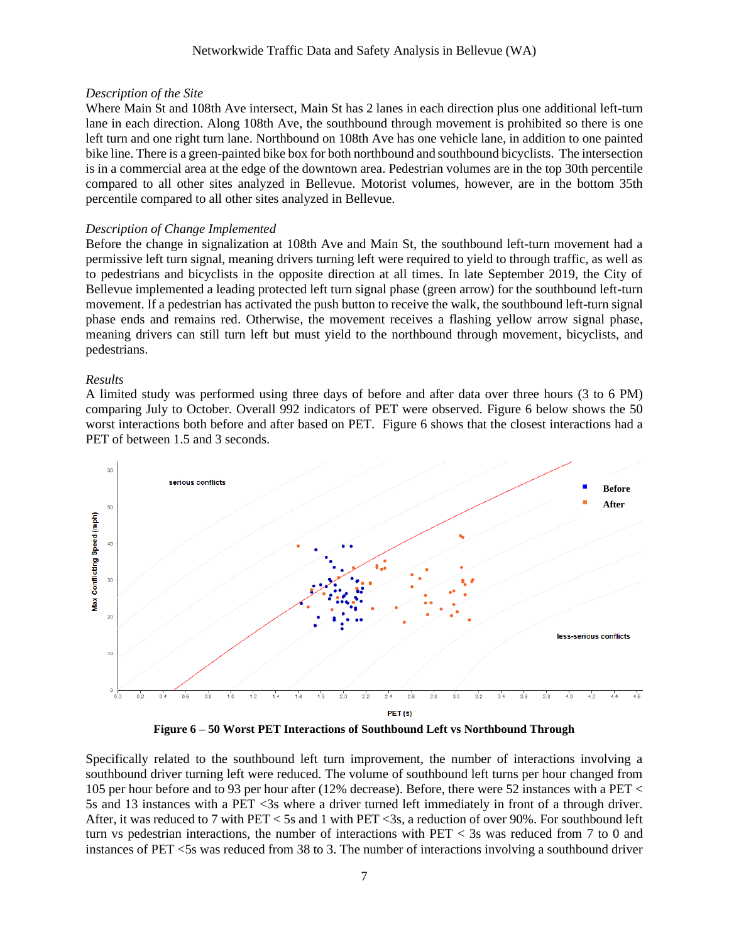#### *Description of the Site*

Where Main St and 108th Ave intersect, Main St has 2 lanes in each direction plus one additional left-turn lane in each direction. Along 108th Ave, the southbound through movement is prohibited so there is one left turn and one right turn lane. Northbound on 108th Ave has one vehicle lane, in addition to one painted bike line. There is a green-painted bike box for both northbound and southbound bicyclists. The intersection is in a commercial area at the edge of the downtown area. Pedestrian volumes are in the top 30th percentile compared to all other sites analyzed in Bellevue. Motorist volumes, however, are in the bottom 35th percentile compared to all other sites analyzed in Bellevue.

#### *Description of Change Implemented*

Before the change in signalization at 108th Ave and Main St, the southbound left-turn movement had a permissive left turn signal, meaning drivers turning left were required to yield to through traffic, as well as to pedestrians and bicyclists in the opposite direction at all times. In late September 2019, the City of Bellevue implemented a leading protected left turn signal phase (green arrow) for the southbound left-turn movement. If a pedestrian has activated the push button to receive the walk, the southbound left-turn signal phase ends and remains red. Otherwise, the movement receives a flashing yellow arrow signal phase, meaning drivers can still turn left but must yield to the northbound through movement, bicyclists, and pedestrians.

#### *Results*

A limited study was performed using three days of before and after data over three hours (3 to 6 PM) comparing July to October. Overall 992 indicators of PET were observed. Figure 6 below shows the 50 worst interactions both before and after based on PET. Figure 6 shows that the closest interactions had a PET of between 1.5 and 3 seconds.



**Figure 6 – 50 Worst PET Interactions of Southbound Left vs Northbound Through**

Specifically related to the southbound left turn improvement, the number of interactions involving a southbound driver turning left were reduced. The volume of southbound left turns per hour changed from 105 per hour before and to 93 per hour after (12% decrease). Before, there were 52 instances with a PET < 5s and 13 instances with a PET <3s where a driver turned left immediately in front of a through driver. After, it was reduced to 7 with PET < 5s and 1 with PET <3s, a reduction of over 90%. For southbound left turn vs pedestrian interactions, the number of interactions with PET < 3s was reduced from 7 to 0 and instances of PET <5s was reduced from 38 to 3. The number of interactions involving a southbound driver